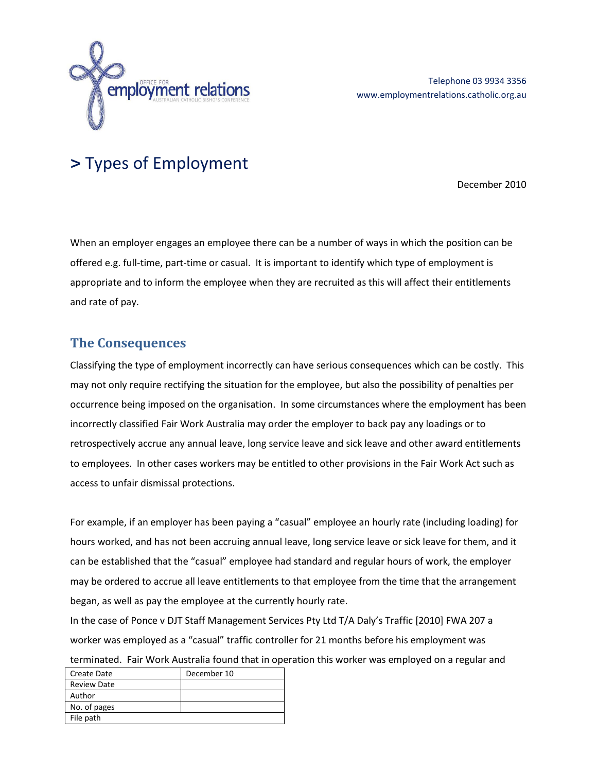

# **>** Types of Employment

December 2010

When an employer engages an employee there can be a number of ways in which the position can be offered e.g. full-time, part-time or casual. It is important to identify which type of employment is appropriate and to inform the employee when they are recruited as this will affect their entitlements and rate of pay.

# **The Consequences**

Classifying the type of employment incorrectly can have serious consequences which can be costly. This may not only require rectifying the situation for the employee, but also the possibility of penalties per occurrence being imposed on the organisation. In some circumstances where the employment has been incorrectly classified Fair Work Australia may order the employer to back pay any loadings or to retrospectively accrue any annual leave, long service leave and sick leave and other award entitlements to employees. In other cases workers may be entitled to other provisions in the Fair Work Act such as access to unfair dismissal protections.

For example, if an employer has been paying a "casual" employee an hourly rate (including loading) for hours worked, and has not been accruing annual leave, long service leave or sick leave for them, and it can be established that the "casual" employee had standard and regular hours of work, the employer may be ordered to accrue all leave entitlements to that employee from the time that the arrangement began, as well as pay the employee at the currently hourly rate.

In the case of Ponce v DJT Staff Management Services Pty Ltd T/A Daly's Traffic [2010] FWA 207 a worker was employed as a "casual" traffic controller for 21 months before his employment was terminated. Fair Work Australia found that in operation this worker was employed on a regular and

| Create Date        | December 10 |
|--------------------|-------------|
| <b>Review Date</b> |             |
| Author             |             |
| No. of pages       |             |
| File path          |             |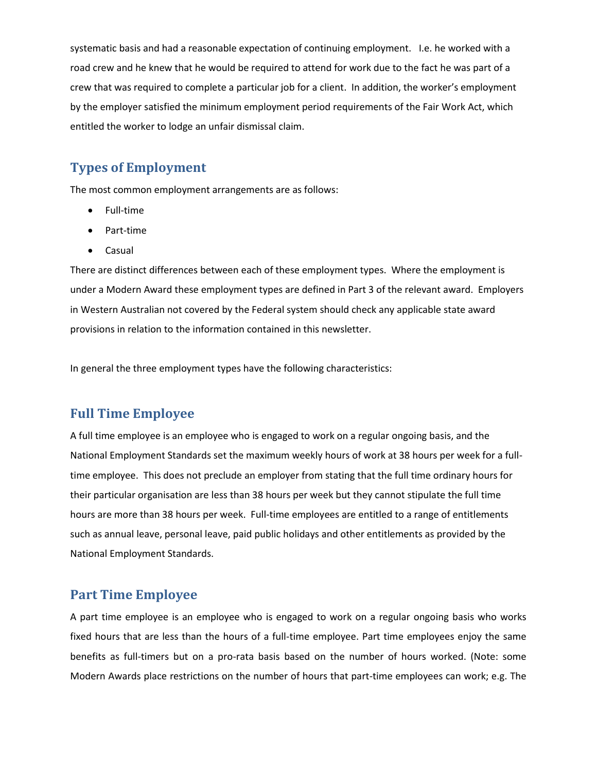systematic basis and had a reasonable expectation of continuing employment. I.e. he worked with a road crew and he knew that he would be required to attend for work due to the fact he was part of a crew that was required to complete a particular job for a client. In addition, the worker's employment by the employer satisfied the minimum employment period requirements of the Fair Work Act, which entitled the worker to lodge an unfair dismissal claim.

# **Types of Employment**

The most common employment arrangements are as follows:

- Full-time
- Part-time
- Casual

There are distinct differences between each of these employment types. Where the employment is under a Modern Award these employment types are defined in Part 3 of the relevant award. Employers in Western Australian not covered by the Federal system should check any applicable state award provisions in relation to the information contained in this newsletter.

In general the three employment types have the following characteristics:

## **Full Time Employee**

A full time employee is an employee who is engaged to work on a regular ongoing basis, and the National Employment Standards set the maximum weekly hours of work at 38 hours per week for a fulltime employee. This does not preclude an employer from stating that the full time ordinary hours for their particular organisation are less than 38 hours per week but they cannot stipulate the full time hours are more than 38 hours per week. Full-time employees are entitled to a range of entitlements such as annual leave, personal leave, paid public holidays and other entitlements as provided by the National Employment Standards.

#### **Part Time Employee**

A part time employee is an employee who is engaged to work on a regular ongoing basis who works fixed hours that are less than the hours of a full-time employee. Part time employees enjoy the same benefits as full-timers but on a pro-rata basis based on the number of hours worked. (Note: some Modern Awards place restrictions on the number of hours that part-time employees can work; e.g. The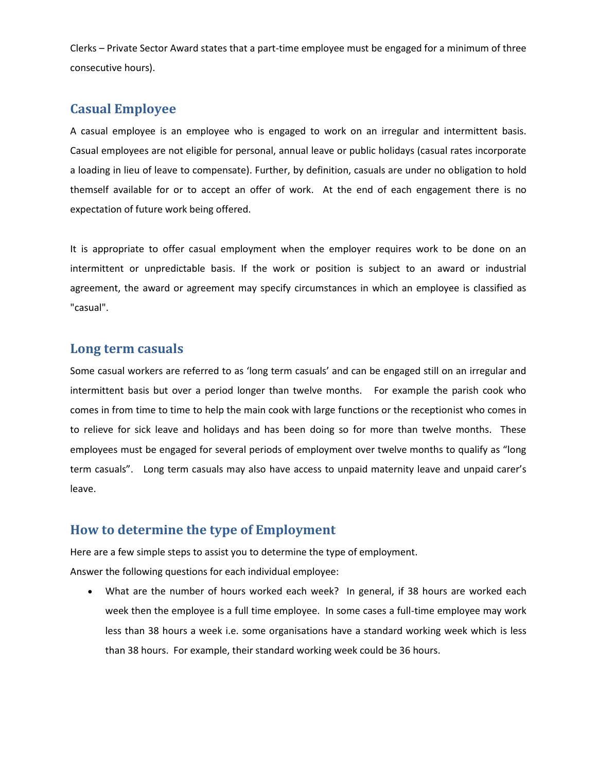Clerks – Private Sector Award states that a part-time employee must be engaged for a minimum of three consecutive hours).

# **Casual Employee**

A casual employee is an employee who is engaged to work on an irregular and intermittent basis. Casual employees are not eligible for personal, annual leave or public holidays (casual rates incorporate a loading in lieu of leave to compensate). Further, by definition, casuals are under no obligation to hold themself available for or to accept an offer of work. At the end of each engagement there is no expectation of future work being offered.

It is appropriate to offer casual employment when the employer requires work to be done on an intermittent or unpredictable basis. If the work or position is subject to an award or industrial agreement, the award or agreement may specify circumstances in which an employee is classified as "casual".

### **Long term casuals**

Some casual workers are referred to as 'long term casuals' and can be engaged still on an irregular and intermittent basis but over a period longer than twelve months. For example the parish cook who comes in from time to time to help the main cook with large functions or the receptionist who comes in to relieve for sick leave and holidays and has been doing so for more than twelve months. These employees must be engaged for several periods of employment over twelve months to qualify as "long term casuals". Long term casuals may also have access to unpaid maternity leave and unpaid carer's leave.

# **How to determine the type of Employment**

Here are a few simple steps to assist you to determine the type of employment.

Answer the following questions for each individual employee:

 What are the number of hours worked each week? In general, if 38 hours are worked each week then the employee is a full time employee. In some cases a full-time employee may work less than 38 hours a week i.e. some organisations have a standard working week which is less than 38 hours. For example, their standard working week could be 36 hours.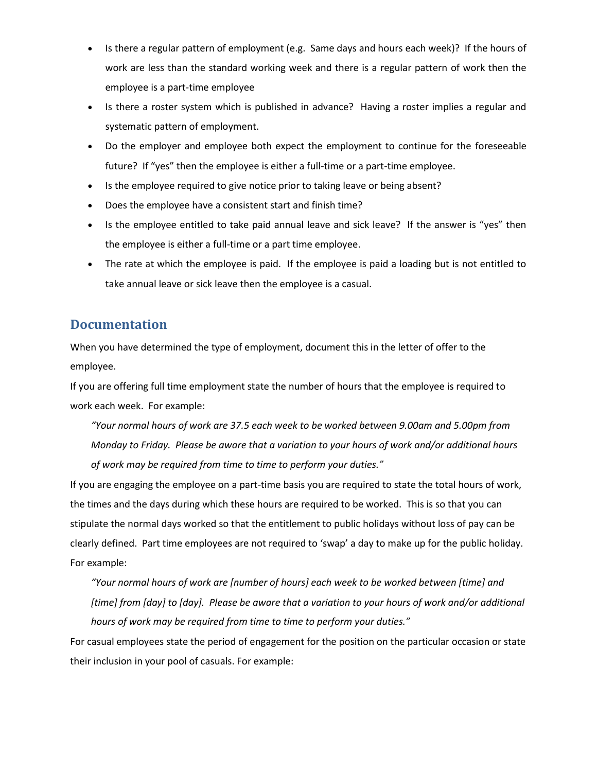- Is there a regular pattern of employment (e.g. Same days and hours each week)? If the hours of work are less than the standard working week and there is a regular pattern of work then the employee is a part-time employee
- Is there a roster system which is published in advance? Having a roster implies a regular and systematic pattern of employment.
- Do the employer and employee both expect the employment to continue for the foreseeable future? If "yes" then the employee is either a full-time or a part-time employee.
- Is the employee required to give notice prior to taking leave or being absent?
- Does the employee have a consistent start and finish time?
- Is the employee entitled to take paid annual leave and sick leave? If the answer is "yes" then the employee is either a full-time or a part time employee.
- The rate at which the employee is paid. If the employee is paid a loading but is not entitled to take annual leave or sick leave then the employee is a casual.

# **Documentation**

When you have determined the type of employment, document this in the letter of offer to the employee.

If you are offering full time employment state the number of hours that the employee is required to work each week. For example:

*"Your normal hours of work are 37.5 each week to be worked between 9.00am and 5.00pm from Monday to Friday. Please be aware that a variation to your hours of work and/or additional hours of work may be required from time to time to perform your duties."*

If you are engaging the employee on a part-time basis you are required to state the total hours of work, the times and the days during which these hours are required to be worked. This is so that you can stipulate the normal days worked so that the entitlement to public holidays without loss of pay can be clearly defined. Part time employees are not required to 'swap' a day to make up for the public holiday. For example:

*"Your normal hours of work are [number of hours] each week to be worked between [time] and [time] from [day] to [day]. Please be aware that a variation to your hours of work and/or additional hours of work may be required from time to time to perform your duties."*

For casual employees state the period of engagement for the position on the particular occasion or state their inclusion in your pool of casuals. For example: